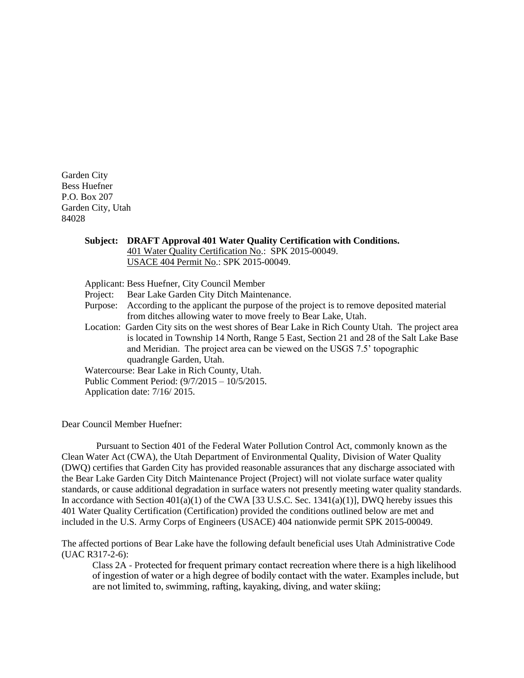Garden City Bess Huefner P.O. Box 207 Garden City, Utah 84028

## **Subject: DRAFT Approval 401 Water Quality Certification with Conditions.** 401 Water Quality Certification No.: SPK 2015-00049. USACE 404 Permit No.: SPK 2015-00049. Applicant: Bess Huefner, City Council Member Project: Bear Lake Garden City Ditch Maintenance. Purpose: According to the applicant the purpose of the project is to remove deposited material from ditches allowing water to move freely to Bear Lake, Utah. Location: Garden City sits on the west shores of Bear Lake in Rich County Utah. The project area is located in Township 14 North, Range 5 East, Section 21 and 28 of the Salt Lake Base and Meridian. The project area can be viewed on the USGS 7.5' topographic quadrangle Garden, Utah. Watercourse: Bear Lake in Rich County, Utah. Public Comment Period: (9/7/2015 – 10/5/2015. Application date: 7/16/ 2015.

Dear Council Member Huefner:

Pursuant to Section 401 of the Federal Water Pollution Control Act, commonly known as the Clean Water Act (CWA), the Utah Department of Environmental Quality, Division of Water Quality (DWQ) certifies that Garden City has provided reasonable assurances that any discharge associated with the Bear Lake Garden City Ditch Maintenance Project (Project) will not violate surface water quality standards, or cause additional degradation in surface waters not presently meeting water quality standards. In accordance with Section  $401(a)(1)$  of the CWA [33 U.S.C. Sec. 1341(a)(1)], DWQ hereby issues this 401 Water Quality Certification (Certification) provided the conditions outlined below are met and included in the U.S. Army Corps of Engineers (USACE) 404 nationwide permit SPK 2015-00049.

The affected portions of Bear Lake have the following default beneficial uses Utah Administrative Code (UAC R317-2-6):

Class 2A - Protected for frequent primary contact recreation where there is a high likelihood of ingestion of water or a high degree of bodily contact with the water. Examples include, but are not limited to, swimming, rafting, kayaking, diving, and water skiing;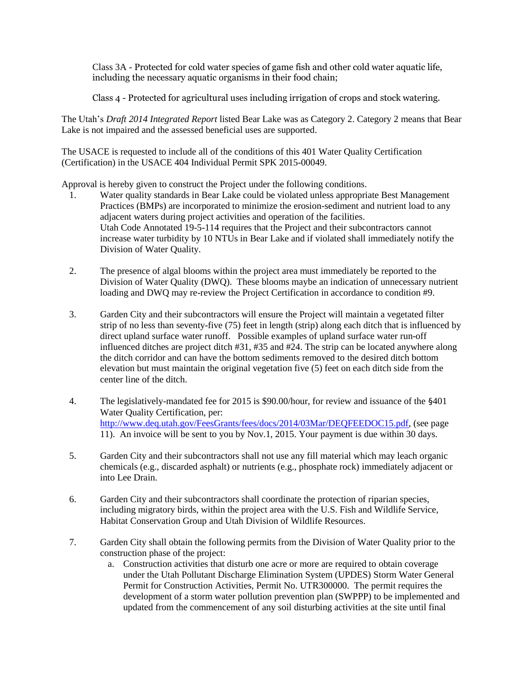Class 3A - Protected for cold water species of game fish and other cold water aquatic life, including the necessary aquatic organisms in their food chain;

Class 4 - Protected for agricultural uses including irrigation of crops and stock watering.

The Utah's *Draft 2014 Integrated Report* listed Bear Lake was as Category 2. Category 2 means that Bear Lake is not impaired and the assessed beneficial uses are supported.

The USACE is requested to include all of the conditions of this 401 Water Quality Certification (Certification) in the USACE 404 Individual Permit SPK 2015-00049.

Approval is hereby given to construct the Project under the following conditions.

- 1. Water quality standards in Bear Lake could be violated unless appropriate Best Management Practices (BMPs) are incorporated to minimize the erosion-sediment and nutrient load to any adjacent waters during project activities and operation of the facilities. Utah Code Annotated 19-5-114 requires that the Project and their subcontractors cannot increase water turbidity by 10 NTUs in Bear Lake and if violated shall immediately notify the Division of Water Quality.
- 2. The presence of algal blooms within the project area must immediately be reported to the Division of Water Quality (DWQ). These blooms maybe an indication of unnecessary nutrient loading and DWQ may re-review the Project Certification in accordance to condition #9.
- 3. Garden City and their subcontractors will ensure the Project will maintain a vegetated filter strip of no less than seventy-five (75) feet in length (strip) along each ditch that is influenced by direct upland surface water runoff. Possible examples of upland surface water run-off influenced ditches are project ditch #31, #35 and #24. The strip can be located anywhere along the ditch corridor and can have the bottom sediments removed to the desired ditch bottom elevation but must maintain the original vegetation five (5) feet on each ditch side from the center line of the ditch.
- 4. The legislatively-mandated fee for 2015 is \$90.00/hour, for review and issuance of the §401 Water Quality Certification, per: [http://www.deq.utah.gov/FeesGrants/fees/docs/2014/03Mar/DEQFEEDOC15.pdf,](http://www.deq.utah.gov/FeesGrants/fees/docs/2014/03Mar/DEQFEEDOC15.pdf) (see page 11). An invoice will be sent to you by Nov.1, 2015. Your payment is due within 30 days.
- 5. Garden City and their subcontractors shall not use any fill material which may leach organic chemicals (e.g., discarded asphalt) or nutrients (e.g., phosphate rock) immediately adjacent or into Lee Drain.
- 6. Garden City and their subcontractors shall coordinate the protection of riparian species, including migratory birds, within the project area with the U.S. Fish and Wildlife Service, Habitat Conservation Group and Utah Division of Wildlife Resources.
- 7. Garden City shall obtain the following permits from the Division of Water Quality prior to the construction phase of the project:
	- a. Construction activities that disturb one acre or more are required to obtain coverage under the Utah Pollutant Discharge Elimination System (UPDES) Storm Water General Permit for Construction Activities, Permit No. UTR300000. The permit requires the development of a storm water pollution prevention plan (SWPPP) to be implemented and updated from the commencement of any soil disturbing activities at the site until final